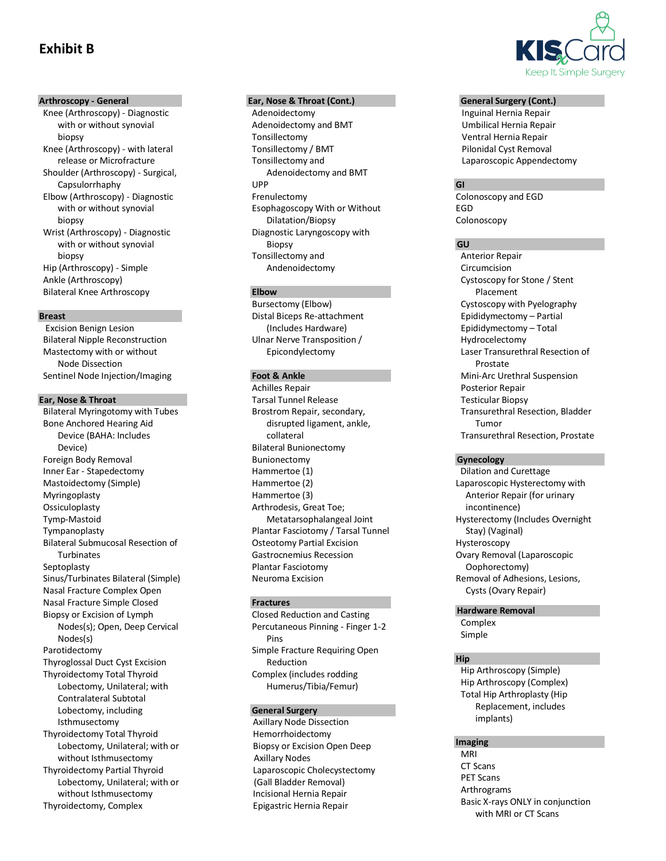# **Exhibit B**

### **Arthroscopy - General**

Knee (Arthroscopy) - Diagnostic with or without synovial biopsy Knee (Arthroscopy) - with lateral release or Microfracture Shoulder (Arthroscopy) - Surgical, Capsulorrhaphy Elbow (Arthroscopy) - Diagnostic with or without synovial biopsy Wrist (Arthroscopy) - Diagnostic with or without synovial biopsy Hip (Arthroscopy) - Simple Ankle (Arthroscopy) Bilateral Knee Arthroscopy

#### **Breast**

Excision Benign Lesion Bilateral Nipple Reconstruction Mastectomy with or without Node Dissection Sentinel Node Injection/Imaging

# **Ear, Nose & Throat**

Bilateral Myringotomy with Tubes Bone Anchored Hearing Aid Device (BAHA: Includes Device) Foreign Body Removal Inner Ear - Stapedectomy Mastoidectomy (Simple) Myringoplasty Ossiculoplasty Tymp-Mastoid Tympanoplasty Bilateral Submucosal Resection of Turbinates Septoplasty Sinus/Turbinates Bilateral (Simple) Nasal Fracture Complex Open Nasal Fracture Simple Closed Biopsy or Excision of Lymph Nodes(s); Open, Deep Cervical Nodes(s) Parotidectomy Thyroglossal Duct Cyst Excision Thyroidectomy Total Thyroid Lobectomy, Unilateral; with Contralateral Subtotal Lobectomy, including Isthmusectomy Thyroidectomy Total Thyroid Lobectomy, Unilateral; with or without Isthmusectomy Thyroidectomy Partial Thyroid Lobectomy, Unilateral; with or without Isthmusectomy Thyroidectomy, Complex

# **Ear, Nose & Throat (Cont.)**

Adenoidectomy Adenoidectomy and BMT Tonsillectomy Tonsillectomy / BMT Tonsillectomy and Adenoidectomy and BMT UPP Frenulectomy Esophagoscopy With or Without Dilatation/Biopsy Diagnostic Laryngoscopy with **Biopsy** Tonsillectomy and Andenoidectomy

# **Elbow**

Bursectomy (Elbow) Distal Biceps Re-attachment (Includes Hardware) Ulnar Nerve Transposition / Epicondylectomy

# **Foot & Ankle**

Achilles Repair Tarsal Tunnel Release Brostrom Repair, secondary, disrupted ligament, ankle, collateral Bilateral Bunionectomy Bunionectomy Hammertoe (1) Hammertoe (2) Hammertoe (3) Arthrodesis, Great Toe; Metatarsophalangeal Joint Plantar Fasciotomy / Tarsal Tunnel Osteotomy Partial Excision Gastrocnemius Recession Plantar Fasciotomy Neuroma Excision

# **Fractures**

Closed Reduction and Casting Percutaneous Pinning - Finger 1-2 Pins Simple Fracture Requiring Open Reduction Complex (includes rodding Humerus/Tibia/Femur)

# **General Surgery**

Axillary Node Dissection Hemorrhoidectomy Biopsy or Excision Open Deep Axillary Nodes Laparoscopic Cholecystectomy (Gall Bladder Removal) Incisional Hernia Repair Epigastric Hernia Repair



#### **General Surgery (Cont.)**

Inguinal Hernia Repair Umbilical Hernia Repair Ventral Hernia Repair Pilonidal Cyst Removal Laparoscopic Appendectomy

# **GI**

Colonoscopy and EGD EGD Colonoscopy

#### **GU**

Anterior Repair Circumcision Cystoscopy for Stone / Stent Placement Cystoscopy with Pyelography Epididymectomy – Partial Epididymectomy – Total Hydrocelectomy Laser Transurethral Resection of Prostate Mini-Arc Urethral Suspension Posterior Repair Testicular Biopsy Transurethral Resection, Bladder Tumor Transurethral Resection, Prostate

#### **Gynecology**

 Dilation and Curettage Laparoscopic Hysterectomy with Anterior Repair (for urinary incontinence) Hysterectomy (Includes Overnight Stay) (Vaginal) Hysteroscopy Ovary Removal (Laparoscopic Oophorectomy) Removal of Adhesions, Lesions, Cysts (Ovary Repair)

#### **Hardware Removal**

Complex Simple

#### **Hip**

Hip Arthroscopy (Simple) Hip Arthroscopy (Complex) Total Hip Arthroplasty (Hip Replacement, includes implants)

#### **Imaging**

MRI CT Scans PET Scans Arthrograms Basic X-rays ONLY in conjunction with MRI or CT Scans